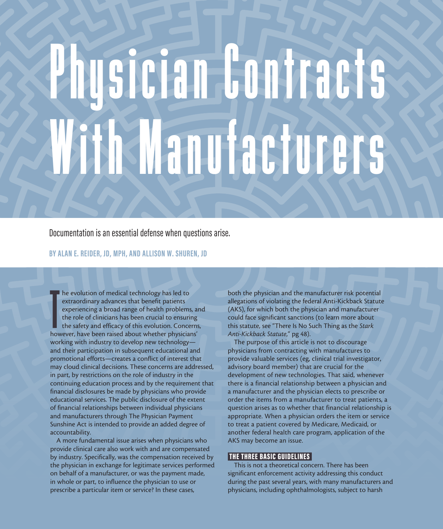# Phusician Contracts With Manufacturers

Documentation is an essential defense when questions arise.

## **BY ALAN E. REIDER, JD, MPH, AND ALLISON W. SHUREN, JD**

 $\prod_{\text{how}}$ he evolution of medical technology has led to extraordinary advances that benefit patients experiencing a broad range of health problems, and the role of clinicians has been crucial to ensuring the safety and efficacy of this evolution. Concerns, however, have been raised about whether physicians' working with industry to develop new technology and their participation in subsequent educational and promotional efforts—creates a conflict of interest that may cloud clinical decisions. These concerns are addressed, in part, by restrictions on the role of industry in the continuing education process and by the requirement that financial disclosures be made by physicians who provide educational services. The public disclosure of the extent of financial relationships between individual physicians and manufacturers through The Physician Payment Sunshine Act is intended to provide an added degree of accountability.

A more fundamental issue arises when physicians who provide clinical care also work with and are compensated by industry. Specifically, was the compensation received by the physician in exchange for legitimate services performed on behalf of a manufacturer, or was the payment made, in whole or part, to influence the physician to use or prescribe a particular item or service? In these cases,

both the physician and the manufacturer risk potential allegations of violating the federal Anti-Kickback Statute (AKS), for which both the physician and manufacturer could face significant sanctions (to learn more about this statute, see "There Is No Such Thing as the *Stark Anti-Kickback Statute*," pg 48).

The purpose of this article is not to discourage physicians from contracting with manufactures to provide valuable services (eg, clinical trial investigator, advisory board member) that are crucial for the development of new technologies. That said, whenever there is a financial relationship between a physician and a manufacturer and the physician elects to prescribe or order the items from a manufacturer to treat patients, a question arises as to whether that financial relationship is appropriate. When a physician orders the item or service to treat a patient covered by Medicare, Medicaid, or another federal health care program, application of the AKS may become an issue.

### THE THREE BASIC GUIDELINES

This is not a theoretical concern. There has been significant enforcement activity addressing this conduct during the past several years, with many manufacturers and physicians, including ophthalmologists, subject to harsh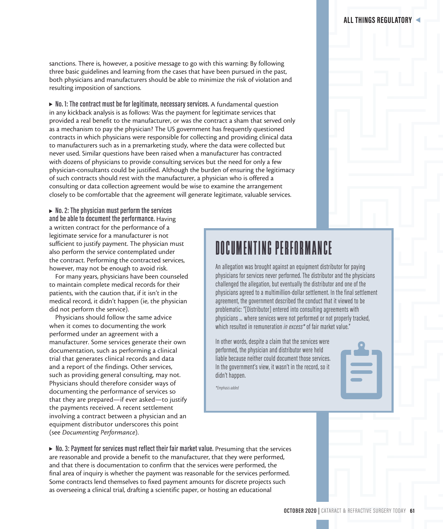sanctions. There is, however, a positive message to go with this warning: By following three basic guidelines and learning from the cases that have been pursued in the past, both physicians and manufacturers should be able to minimize the risk of violation and resulting imposition of sanctions.

▶ No. 1: The contract must be for legitimate, necessary services. A fundamental question in any kickback analysis is as follows: Was the payment for legitimate services that provided a real benefit to the manufacturer, or was the contract a sham that served only as a mechanism to pay the physician? The US government has frequently questioned contracts in which physicians were responsible for collecting and providing clinical data to manufacturers such as in a premarketing study, where the data were collected but never used. Similar questions have been raised when a manufacturer has contracted with dozens of physicians to provide consulting services but the need for only a few physician-consultants could be justified. Although the burden of ensuring the legitimacy of such contracts should rest with the manufacturer, a physician who is offered a consulting or data collection agreement would be wise to examine the arrangement closely to be comfortable that the agreement will generate legitimate, valuable services.

► No. 2: The physician must perform the services **and be able to document the performance.** Having a written contract for the performance of a legitimate service for a manufacturer is not sufficient to justify payment. The physician must also perform the service contemplated under the contract. Performing the contracted services, however, may not be enough to avoid risk.

For many years, physicians have been counseled to maintain complete medical records for their patients, with the caution that, if it isn't in the medical record, it didn't happen (ie, the physician did not perform the service).

Physicians should follow the same advice when it comes to documenting the work performed under an agreement with a manufacturer. Some services generate their own documentation, such as performing a clinical trial that generates clinical records and data and a report of the findings. Other services, such as providing general consulting, may not. Physicians should therefore consider ways of documenting the performance of services so that they are prepared—if ever asked—to justify the payments received. A recent settlement involving a contract between a physician and an equipment distributor underscores this point (see *Documenting Performance*).

# DOCUMENTING PERFORMANCE

An allegation was brought against an equipment distributor for paying physicians for services never performed. The distributor and the physicians challenged the allegation, but eventually the distributor and one of the physicians agreed to a multimillion-dollar settlement. In the final settlement agreement, the government described the conduct that it viewed to be problematic: "[Distributor] entered into consulting agreements with physicians … where services were not performed or not properly tracked, which resulted in remuneration *in excess\** of fair market value."

In other words, despite a claim that the services were performed, the physician and distributor were held liable because neither could document those services. In the government's view, it wasn't in the record, so it didn't happen.

*\*Emphasis added*

▶ No. 3: Payment for services must reflect their fair market value. Presuming that the services are reasonable and provide a benefit to the manufacturer, that they were performed, and that there is documentation to confirm that the services were performed, the final area of inquiry is whether the payment was reasonable for the services performed. Some contracts lend themselves to fixed payment amounts for discrete projects such as overseeing a clinical trial, drafting a scientific paper, or hosting an educational